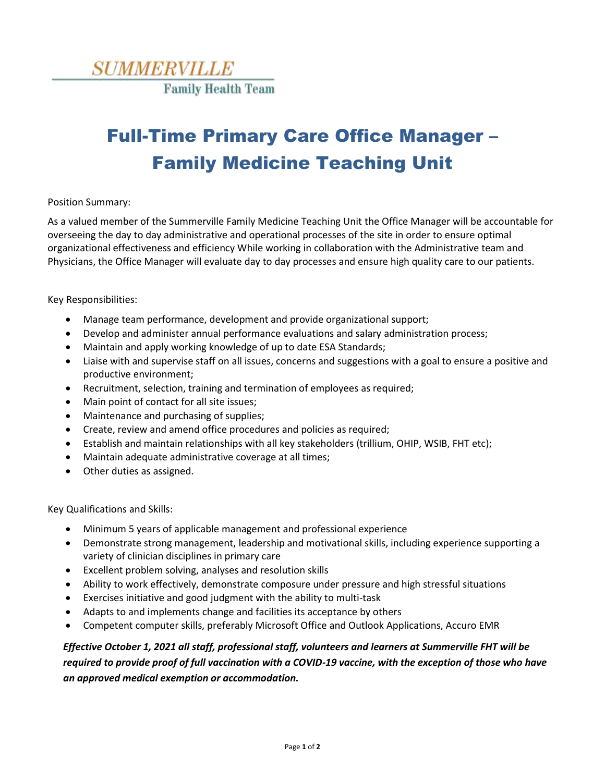

## Full-Time Primary Care Office Manager – Family Medicine Teaching Unit

## Position Summary:

As a valued member of the Summerville Family Medicine Teaching Unit the Office Manager will be accountable for overseeing the day to day administrative and operational processes of the site in order to ensure optimal organizational effectiveness and efficiency While working in collaboration with the Administrative team and Physicians, the Office Manager will evaluate day to day processes and ensure high quality care to our patients.

Key Responsibilities:

- Manage team performance, development and provide organizational support;
- Develop and administer annual performance evaluations and salary administration process;
- Maintain and apply working knowledge of up to date ESA Standards;
- Liaise with and supervise staff on all issues, concerns and suggestions with a goal to ensure a positive and productive environment;
- Recruitment, selection, training and termination of employees as required;
- Main point of contact for all site issues;
- Maintenance and purchasing of supplies;
- Create, review and amend office procedures and policies as required;
- Establish and maintain relationships with all key stakeholders (trillium, OHIP, WSIB, FHT etc);
- Maintain adequate administrative coverage at all times;
- Other duties as assigned.

Key Qualifications and Skills:

- Minimum 5 years of applicable management and professional experience
- Demonstrate strong management, leadership and motivational skills, including experience supporting a variety of clinician disciplines in primary care
- Excellent problem solving, analyses and resolution skills
- Ability to work effectively, demonstrate composure under pressure and high stressful situations
- Exercises initiative and good judgment with the ability to multi-task
- Adapts to and implements change and facilities its acceptance by others
- Competent computer skills, preferably Microsoft Office and Outlook Applications, Accuro EMR

## *Effective October 1, 2021 all staff, professional staff, volunteers and learners at Summerville FHT will be required to provide proof of full vaccination with a COVID-19 vaccine, with the exception of those who have an approved medical exemption or accommodation.*